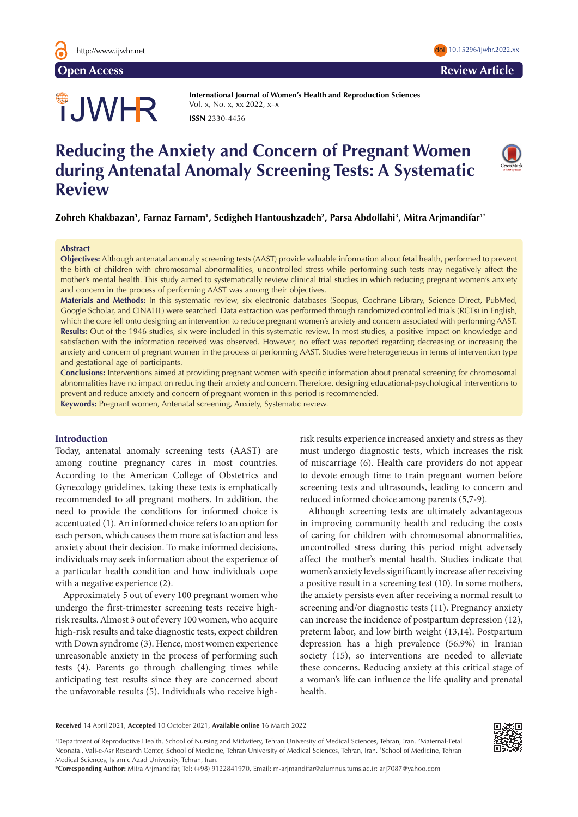

# TJWHR

**International Journal of Women's Health and Reproduction Sciences**  Vol. x, No. x, xx 2022, x–x **ISSN** 2330-4456

# **Reducing the Anxiety and Concern of Pregnant Women during Antenatal Anomaly Screening Tests: A Systematic Review**

**Zohreh Khakbazan1 , Farnaz Farnam1 , Sedigheh Hantoushzadeh2 , Parsa Abdollahi3 , Mitra Arjmandifar1\***

#### **Abstract**

**Objectives:** Although antenatal anomaly screening tests (AAST) provide valuable information about fetal health, performed to prevent the birth of children with chromosomal abnormalities, uncontrolled stress while performing such tests may negatively affect the mother's mental health. This study aimed to systematically review clinical trial studies in which reducing pregnant women's anxiety and concern in the process of performing AAST was among their objectives.

**Materials and Methods:** In this systematic review, six electronic databases (Scopus, Cochrane Library, Science Direct, PubMed, Google Scholar, and CINAHL) were searched. Data extraction was performed through randomized controlled trials (RCTs) in English, which the core fell onto designing an intervention to reduce pregnant women's anxiety and concern associated with performing AAST. **Results:** Out of the 1946 studies, six were included in this systematic review. In most studies, a positive impact on knowledge and satisfaction with the information received was observed. However, no effect was reported regarding decreasing or increasing the anxiety and concern of pregnant women in the process of performing AAST. Studies were heterogeneous in terms of intervention type and gestational age of participants.

**Conclusions:** Interventions aimed at providing pregnant women with specific information about prenatal screening for chromosomal abnormalities have no impact on reducing their anxiety and concern. Therefore, designing educational-psychological interventions to prevent and reduce anxiety and concern of pregnant women in this period is recommended.

**Keywords:** Pregnant women, Antenatal screening, Anxiety, Systematic review.

# **Introduction**

Today, antenatal anomaly screening tests (AAST) are among routine pregnancy cares in most countries. According to the American College of Obstetrics and Gynecology guidelines, taking these tests is emphatically recommended to all pregnant mothers. In addition, the need to provide the conditions for informed choice is accentuated (1). An informed choice refers to an option for each person, which causes them more satisfaction and less anxiety about their decision. To make informed decisions, individuals may seek information about the experience of a particular health condition and how individuals cope with a negative experience (2).

Approximately 5 out of every 100 pregnant women who undergo the first-trimester screening tests receive highrisk results. Almost 3 out of every 100 women, who acquire high-risk results and take diagnostic tests, expect children with Down syndrome (3). Hence, most women experience unreasonable anxiety in the process of performing such tests (4). Parents go through challenging times while anticipating test results since they are concerned about the unfavorable results (5). Individuals who receive highrisk results experience increased anxiety and stress as they must undergo diagnostic tests, which increases the risk of miscarriage (6). Health care providers do not appear to devote enough time to train pregnant women before screening tests and ultrasounds, leading to concern and reduced informed choice among parents (5,7-9).

Although screening tests are ultimately advantageous in improving community health and reducing the costs of caring for children with chromosomal abnormalities, uncontrolled stress during this period might adversely affect the mother's mental health. Studies indicate that women's anxiety levels significantly increase after receiving a positive result in a screening test (10). In some mothers, the anxiety persists even after receiving a normal result to screening and/or diagnostic tests (11). Pregnancy anxiety can increase the incidence of postpartum depression (12), preterm labor, and low birth weight (13,14). Postpartum depression has a high prevalence (56.9%) in Iranian society (15), so interventions are needed to alleviate these concerns. Reducing anxiety at this critical stage of a woman's life can influence the life quality and prenatal health.

**Received** 14 April 2021, **Accepted** 10 October 2021, **Available online** 16 March 2022

<sup>1</sup>Department of Reproductive Health, School of Nursing and Midwifery, Tehran University of Medical Sciences, Tehran, Iran. <sup>2</sup>Maternal-Fetal Neonatal, Vali-e-Asr Research Center, School of Medicine, Tehran University of Medical Sciences, Tehran, Iran. 3 School of Medicine, Tehran Medical Sciences, Islamic Azad University, Tehran, Iran.

\***Corresponding Author:** Mitra Arjmandifar, Tel: (+98) 9122841970, Email: m-arjmandifar@alumnus.tums.ac.ir; arj7087@yahoo.com





**Open Access Review Article**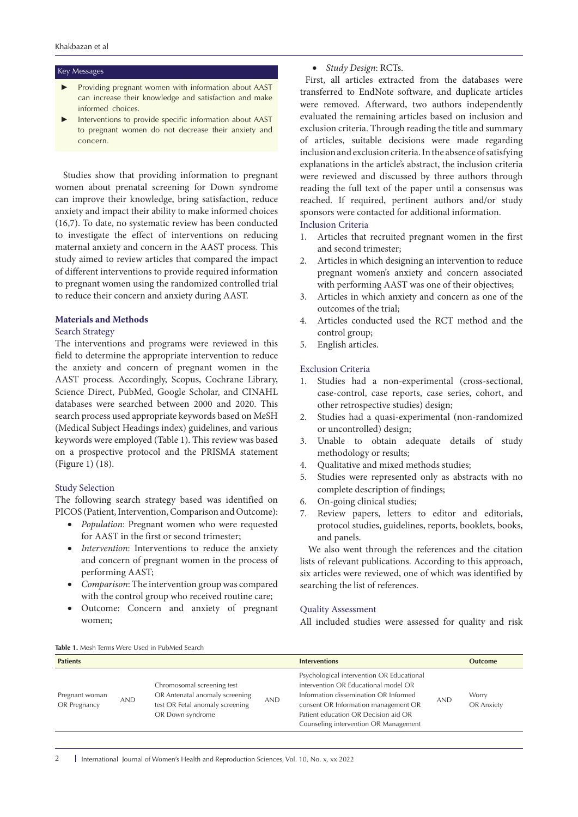#### Key Messages

- Providing pregnant women with information about AAST can increase their knowledge and satisfaction and make informed choices.
- Interventions to provide specific information about AAST to pregnant women do not decrease their anxiety and concern.

Studies show that providing information to pregnant women about prenatal screening for Down syndrome can improve their knowledge, bring satisfaction, reduce anxiety and impact their ability to make informed choices (16,7). To date, no systematic review has been conducted to investigate the effect of interventions on reducing maternal anxiety and concern in the AAST process. This study aimed to review articles that compared the impact of different interventions to provide required information to pregnant women using the randomized controlled trial to reduce their concern and anxiety during AAST.

#### **Materials and Methods**

#### Search Strategy

The interventions and programs were reviewed in this field to determine the appropriate intervention to reduce the anxiety and concern of pregnant women in the AAST process. Accordingly, Scopus, Cochrane Library, Science Direct, PubMed, Google Scholar, and CINAHL databases were searched between 2000 and 2020. This search process used appropriate keywords based on MeSH (Medical Subject Headings index) guidelines, and various keywords were employed (Table 1). This review was based on a prospective protocol and the PRISMA statement (Figure 1) (18).

#### Study Selection

The following search strategy based was identified on PICOS (Patient, Intervention, Comparison and Outcome):

- • *Population*: Pregnant women who were requested for AAST in the first or second trimester;
- • *Intervention*: Interventions to reduce the anxiety and concern of pregnant women in the process of performing AAST;
- • *Comparison*: The intervention group was compared with the control group who received routine care;
- • Outcome: Concern and anxiety of pregnant women;

# • *Study Design*: RCTs.

 First, all articles extracted from the databases were transferred to EndNote software, and duplicate articles were removed. Afterward, two authors independently evaluated the remaining articles based on inclusion and exclusion criteria. Through reading the title and summary of articles, suitable decisions were made regarding inclusion and exclusion criteria. In the absence of satisfying explanations in the article's abstract, the inclusion criteria were reviewed and discussed by three authors through reading the full text of the paper until a consensus was reached. If required, pertinent authors and/or study sponsors were contacted for additional information.

# Inclusion Criteria

- 1. Articles that recruited pregnant women in the first and second trimester;
- 2. Articles in which designing an intervention to reduce pregnant women's anxiety and concern associated with performing AAST was one of their objectives;
- 3. Articles in which anxiety and concern as one of the outcomes of the trial;
- 4. Articles conducted used the RCT method and the control group;
- 5. English articles.

# Exclusion Criteria

- 1. Studies had a non-experimental (cross-sectional, case-control, case reports, case series, cohort, and other retrospective studies) design;
- 2. Studies had a quasi-experimental (non-randomized or uncontrolled) design;
- 3. Unable to obtain adequate details of study methodology or results;
- 4. Qualitative and mixed methods studies;
- 5. Studies were represented only as abstracts with no complete description of findings;
- 6. On-going clinical studies;
- 7. Review papers, letters to editor and editorials, protocol studies, guidelines, reports, booklets, books, and panels.

We also went through the references and the citation lists of relevant publications. According to this approach, six articles were reviewed, one of which was identified by searching the list of references.

## Quality Assessment

All included studies were assessed for quality and risk

| <b>IMMIC IIII</b> RELIEVED IN CITY OUT THE MULTICA DUMENT |            |                                                                                                                     |            |                                                                                                                                                                                                                                                     |            |                     |
|-----------------------------------------------------------|------------|---------------------------------------------------------------------------------------------------------------------|------------|-----------------------------------------------------------------------------------------------------------------------------------------------------------------------------------------------------------------------------------------------------|------------|---------------------|
| <b>Patients</b>                                           |            |                                                                                                                     |            | <b>Interventions</b>                                                                                                                                                                                                                                |            | <b>Outcome</b>      |
| Pregnant woman<br>OR Pregnancy                            | <b>AND</b> | Chromosomal screening test<br>OR Antenatal anomaly screening<br>test OR Fetal anomaly screening<br>OR Down syndrome | <b>AND</b> | Psychological intervention OR Educational<br>intervention OR Educational model OR<br>Information dissemination OR Informed<br>consent OR Information management OR<br>Patient education OR Decision aid OR<br>Counseling intervention OR Management | <b>AND</b> | Worry<br>OR Anxiety |

**Table 1.** Mesh Terms Were Used in PubMed Search

2 | International Journal of Women's Health and Reproduction Sciences, Vol. 10, No. x, xx 2022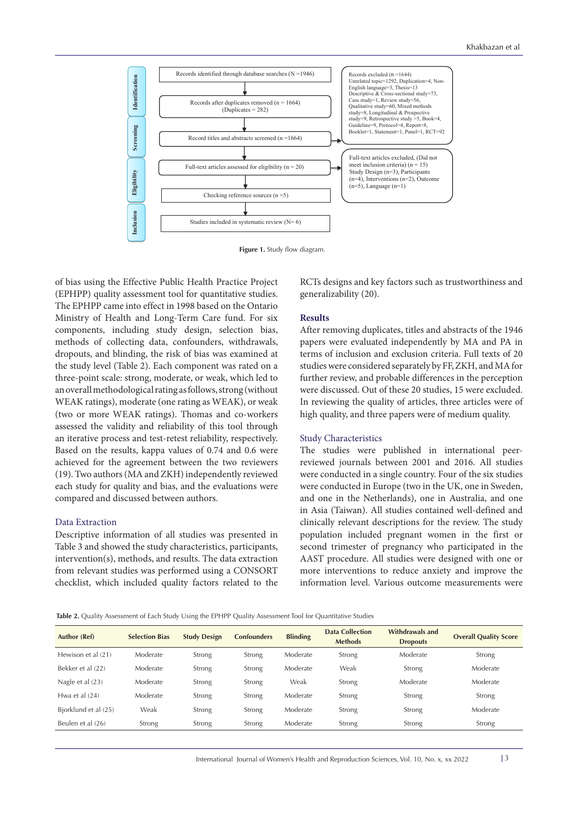

**Figure 1.** Study flow diagram.

of bias using the Effective Public Health Practice Project (EPHPP) quality assessment tool for quantitative studies. The EPHPP came into effect in 1998 based on the Ontario Ministry of Health and Long-Term Care fund. For six components, including study design, selection bias, methods of collecting data, confounders, withdrawals, dropouts, and blinding, the risk of bias was examined at the study level (Table 2). Each component was rated on a three-point scale: strong, moderate, or weak, which led to an overall methodological rating as follows, strong (without WEAK ratings), moderate (one rating as WEAK), or weak (two or more WEAK ratings). Thomas and co-workers assessed the validity and reliability of this tool through an iterative process and test-retest reliability, respectively. Based on the results, kappa values of 0.74 and 0.6 were achieved for the agreement between the two reviewers (19). Two authors (MA and ZKH) independently reviewed each study for quality and bias, and the evaluations were compared and discussed between authors.

#### Data Extraction

Descriptive information of all studies was presented in Table 3 and showed the study characteristics, participants, intervention(s), methods, and results. The data extraction from relevant studies was performed using a CONSORT checklist, which included quality factors related to the RCTs designs and key factors such as trustworthiness and generalizability (20).

#### **Results**

After removing duplicates, titles and abstracts of the 1946 papers were evaluated independently by MA and PA in terms of inclusion and exclusion criteria. Full texts of 20 studies were considered separately by FF, ZKH, and MA for further review, and probable differences in the perception were discussed. Out of these 20 studies, 15 were excluded. In reviewing the quality of articles, three articles were of high quality, and three papers were of medium quality.

#### Study Characteristics

The studies were published in international peerreviewed journals between 2001 and 2016. All studies were conducted in a single country. Four of the six studies were conducted in Europe (two in the UK, one in Sweden, and one in the Netherlands), one in Australia, and one in Asia (Taiwan). All studies contained well-defined and clinically relevant descriptions for the review. The study population included pregnant women in the first or second trimester of pregnancy who participated in the AAST procedure. All studies were designed with one or more interventions to reduce anxiety and improve the information level. Various outcome measurements were

|  |  | Table 2. Quality Assessment of Each Study Using the EPHPP Quality Assessment Tool for Quantitative Studies |
|--|--|------------------------------------------------------------------------------------------------------------|
|--|--|------------------------------------------------------------------------------------------------------------|

| Author (Ref)         | <b>Selection Bias</b> | <b>Study Design</b> | <b>Confounders</b> | <b>Blinding</b> | <b>Data Collection</b><br><b>Methods</b> | Withdrawals and<br><b>Dropouts</b> | <b>Overall Quality Score</b> |
|----------------------|-----------------------|---------------------|--------------------|-----------------|------------------------------------------|------------------------------------|------------------------------|
| Hewison et al (21)   | Moderate              | Strong              | Strong             | Moderate        | Strong                                   | Moderate                           | Strong                       |
| Bekker et al (22)    | Moderate              | Strong              | Strong             | Moderate        | Weak                                     | Strong                             | Moderate                     |
| Nagle et al (23)     | Moderate              | Strong              | Strong             | Weak            | Strong                                   | Moderate                           | Moderate                     |
| Hwa et al $(24)$     | Moderate              | Strong              | Strong             | Moderate        | Strong                                   | Strong                             | Strong                       |
| Bjorklund et al (25) | Weak                  | Strong              | Strong             | Moderate        | Strong                                   | Strong                             | Moderate                     |
| Beulen et al (26)    | Strong                | Strong              | Strong             | Moderate        | Strong                                   | Strong                             | Strong                       |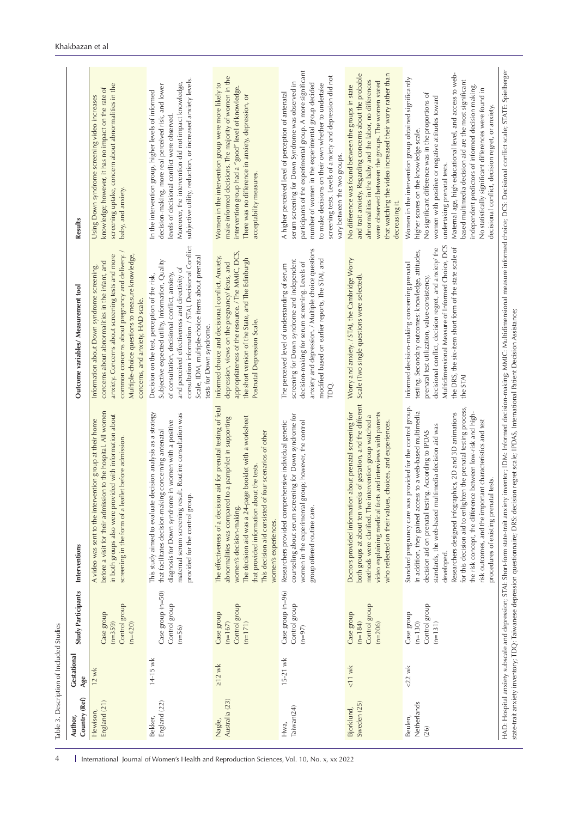| Country (Ref)<br>Author        | Gestational<br>Age | Study Participants                                    | Interventions                                                                                                                                                                                                                                                                                                                                                                                                                                                                                                                                                  | Outcome variables/ Measurement tool                                                                                                                                                                                                                                                                                                             | Results                                                                                                                                                                                                                                                                                                                                                                                                                                                                                                                              |
|--------------------------------|--------------------|-------------------------------------------------------|----------------------------------------------------------------------------------------------------------------------------------------------------------------------------------------------------------------------------------------------------------------------------------------------------------------------------------------------------------------------------------------------------------------------------------------------------------------------------------------------------------------------------------------------------------------|-------------------------------------------------------------------------------------------------------------------------------------------------------------------------------------------------------------------------------------------------------------------------------------------------------------------------------------------------|--------------------------------------------------------------------------------------------------------------------------------------------------------------------------------------------------------------------------------------------------------------------------------------------------------------------------------------------------------------------------------------------------------------------------------------------------------------------------------------------------------------------------------------|
| England (21)<br>Hewison,       | $12$ wk            | Control group<br>Case group<br>$(n=359)$<br>$(n=420)$ | before a visit for their admission to the hospital. All women<br>in both groups also were provided with information about<br>A video was sent to the intervention group at their home<br>screening in the form of a leaflet before admission.                                                                                                                                                                                                                                                                                                                  | common concerns about pregnancy and delivery.<br>anxiety. Concerns about screening tests and more<br>Multiple-choice questions to measure knowledge,<br>concerns about abnormalities in the infant, and<br>Information about Down syndrome screening,<br>concerns, and anxiety, HAD scale.                                                      | screening uptake, concern about abnormalities in the<br>knowledge; however, it has no impact on the rate of<br>Using Down syndrome screening video increases<br>baby, and anxiety.                                                                                                                                                                                                                                                                                                                                                   |
| England (22)<br>Bekker,        | $14 - 15$ wk       | Case group (n=50)<br>Control group<br>$(n=56)$        | decision analysis as a strategy<br>maternal serum screening result. Routine consultation was<br>diagnosis for Down syndrome in women with a positive<br>that facilitates decision-making concerning antenatal<br>provided for the control group.<br>This study aimed to evaluate                                                                                                                                                                                                                                                                               | consultation information. / STAI, Decisional Conflict<br>Scale, IDM, multiple-choice items about prenatal<br>Subjective expected utility, Information, Quality<br>and perceived effectiveness and directivity of<br>of consultation, decisional conflict, anxiety,<br>Decision on the test, perception of the risk,<br>tests for Down syndrome. | subjective utility, reduction, or increased anxiety levels.<br>Moreover, the intervention did not impact knowledge,<br>decision-making, more real perceived risk, and lower<br>In the intervention group, higher levels of informed<br>levels of decisional conflict were observed.                                                                                                                                                                                                                                                  |
| Australia (23)<br>Nagle,       | $\geq$ 12 wk       | Control group<br>Case group<br>$(n=171)$<br>$(n=167)$ | The effectiveness of a decision aid for prenatal testing of fetal<br>to a pamphlet in supporting<br>The decision aid was a 24-page booklet with a worksheet<br>This decision aid consisted of four scenarios of other<br>that provided information about the tests.<br>abnormalities was compared<br>women's decision-making.<br>women's experiences.                                                                                                                                                                                                          | appropriateness of the resource. / The MMIC, DCS,<br>Informed choice and decisional conflict. Anxiety,<br>the short version of the State, and The Edinburgh<br>depression, views on the pregnancy/ fetus, and<br>Postnatal Depression Scale.                                                                                                    | make informed decisions. The majority of women in the<br>Women in the intervention group were more likely to<br>intervention group had a "good" level of knowledge.<br>There was no difference in anxiety, depression, or<br>acceptability measures.                                                                                                                                                                                                                                                                                 |
| Taiwan(24)<br>Hwa,             | $15 - 21$ wk       | Case group (n=96)<br>Control group<br>$(n=97)$        | counseling about serum screening for Down syndrome for<br>women in the experimental group; however, the control<br>Researchers provided comprehensive individual genetic<br>group offered routine care.                                                                                                                                                                                                                                                                                                                                                        | anxiety and depression. / Multiple choice questions<br>modified based on earlier reports, The STAI, and<br>screening for Down syndrome and independent<br>decision-making for serum screening. Levels of<br>The perceived level of understanding of serum<br>TDQ.                                                                               | participants of the experimental group. A more significant<br>screening tests. Levels of anxiety and depression did not<br>serum screening for Down Syndrome was observed in<br>number of women in the experimental group decided<br>to make decisions on their own whether to undertake<br>A higher perceived level of perception of antenatal<br>vary between the two groups.                                                                                                                                                      |
| Sweden (25)<br>Bjorklund,      | $11$ wk            | Control group<br>Case group<br>$(n=184)$<br>$(n=206)$ | both groups at about ten weeks of gestation, and the different<br>Doctors provided information about prenatal screening for<br>video explaining medical facts and interviews with parents<br>methods were clarified. The intervention group watched a<br>who reflected on their values, choices, and experiences.                                                                                                                                                                                                                                              | Worry and anxiety. / STAI, the Cambridge Worry<br>Scale (Two single questions were selected).                                                                                                                                                                                                                                                   | and trait anxiety. Regarding concerns about the probable<br>that watching the video increased their worry rather than<br>abnormalities in the baby and the labor, no differences<br>were observed between the groups. The women stated<br>No difference was found between the groups in state<br>decreasing it.                                                                                                                                                                                                                      |
| Netherlands<br>Beulen,<br>(26) | $<$ 22 wk          | Control group<br>Case group<br>$(n=130)$<br>$(n=131)$ | provided for the control group.<br>for this decision aid to enlighten the prenatal testing process,<br>In addition, they gained access to a web-based multimedia<br>Researchers designed infographics, 2D and 3D animations<br>the risk concept, the difference between low-risk and high-<br>risk outcomes, and the important characteristics and test<br>standards, the web-based multimedia decision aid was<br>decision aid on prenatal testing. According to IPDAS<br>procedures of existing prenatal tests.<br>Standard pregnancy care was<br>developed. | Multidimensional Measure of Informed Choice, DCS<br>decisional conflict, decision regret, and anxiety/ the<br>the DRS, the six-item short form of the state scale of<br>testing. Secondary outcomes: knowledge, attitudes,<br>Informed decision-making concerning prenatal<br>prenatal test utilization, value-consistency,<br>the STAI         | Maternal age, high educational level, and access to web-<br>Women in the intervention group obtained significantly<br>based multimedia decision aid are the most significant<br>independent predictors of informed decision making.<br>No statistically significant differences were found in<br>No significant difference was in the proportions of<br>women with positive or negative attitudes toward<br>decisional conflict, decision regret, or anxiety<br>higher scores on the knowledge scale.<br>undertaking prenatal tests. |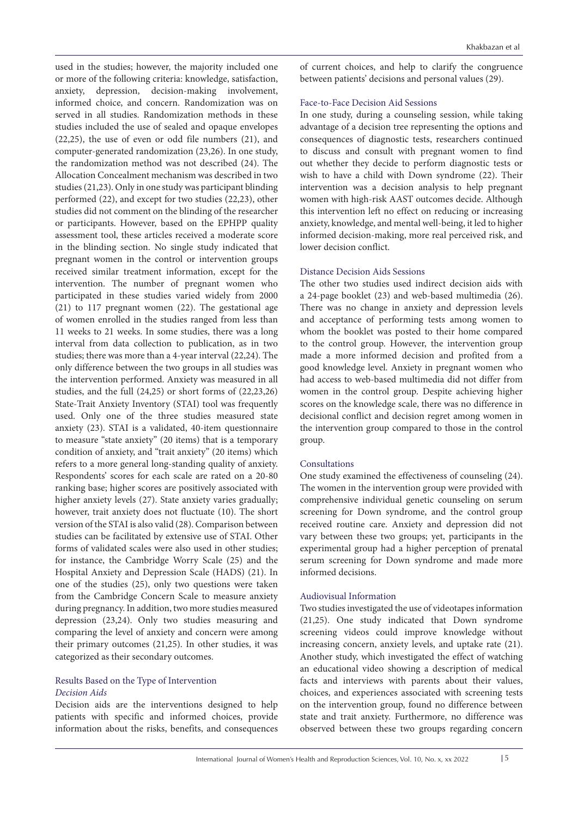used in the studies; however, the majority included one or more of the following criteria: knowledge, satisfaction, anxiety, depression, decision-making involvement, informed choice, and concern. Randomization was on served in all studies. Randomization methods in these studies included the use of sealed and opaque envelopes (22,25), the use of even or odd file numbers (21), and computer-generated randomization (23,26). In one study, the randomization method was not described (24). The Allocation Concealment mechanism was described in two studies (21,23). Only in one study was participant blinding performed (22), and except for two studies (22,23), other studies did not comment on the blinding of the researcher or participants. However, based on the EPHPP quality assessment tool, these articles received a moderate score in the blinding section. No single study indicated that pregnant women in the control or intervention groups received similar treatment information, except for the intervention. The number of pregnant women who participated in these studies varied widely from 2000 (21) to 117 pregnant women (22). The gestational age of women enrolled in the studies ranged from less than 11 weeks to 21 weeks. In some studies, there was a long interval from data collection to publication, as in two studies; there was more than a 4-year interval (22,24). The only difference between the two groups in all studies was the intervention performed. Anxiety was measured in all studies, and the full (24,25) or short forms of (22,23,26) State-Trait Anxiety Inventory (STAI) tool was frequently used. Only one of the three studies measured state anxiety (23). STAI is a validated, 40-item questionnaire to measure "state anxiety" (20 items) that is a temporary condition of anxiety, and "trait anxiety" (20 items) which refers to a more general long-standing quality of anxiety. Respondents' scores for each scale are rated on a 20-80 ranking base; higher scores are positively associated with higher anxiety levels (27). State anxiety varies gradually; however, trait anxiety does not fluctuate (10). The short version of the STAI is also valid (28). Comparison between studies can be facilitated by extensive use of STAI. Other forms of validated scales were also used in other studies; for instance, the Cambridge Worry Scale (25) and the Hospital Anxiety and Depression Scale (HADS) (21). In one of the studies (25), only two questions were taken from the Cambridge Concern Scale to measure anxiety during pregnancy. In addition, two more studies measured depression (23,24). Only two studies measuring and comparing the level of anxiety and concern were among their primary outcomes (21,25). In other studies, it was categorized as their secondary outcomes.

# Results Based on the Type of Intervention *Decision Aids*

Decision aids are the interventions designed to help patients with specific and informed choices, provide information about the risks, benefits, and consequences of current choices, and help to clarify the congruence between patients' decisions and personal values (29).

#### Face-to-Face Decision Aid Sessions

In one study, during a counseling session, while taking advantage of a decision tree representing the options and consequences of diagnostic tests, researchers continued to discuss and consult with pregnant women to find out whether they decide to perform diagnostic tests or wish to have a child with Down syndrome (22). Their intervention was a decision analysis to help pregnant women with high-risk AAST outcomes decide. Although this intervention left no effect on reducing or increasing anxiety, knowledge, and mental well-being, it led to higher informed decision-making, more real perceived risk, and lower decision conflict.

# Distance Decision Aids Sessions

The other two studies used indirect decision aids with a 24-page booklet (23) and web-based multimedia (26). There was no change in anxiety and depression levels and acceptance of performing tests among women to whom the booklet was posted to their home compared to the control group. However, the intervention group made a more informed decision and profited from a good knowledge level. Anxiety in pregnant women who had access to web-based multimedia did not differ from women in the control group. Despite achieving higher scores on the knowledge scale, there was no difference in decisional conflict and decision regret among women in the intervention group compared to those in the control group.

# Consultations

One study examined the effectiveness of counseling (24). The women in the intervention group were provided with comprehensive individual genetic counseling on serum screening for Down syndrome, and the control group received routine care. Anxiety and depression did not vary between these two groups; yet, participants in the experimental group had a higher perception of prenatal serum screening for Down syndrome and made more informed decisions.

## Audiovisual Information

Two studies investigated the use of videotapes information (21,25). One study indicated that Down syndrome screening videos could improve knowledge without increasing concern, anxiety levels, and uptake rate (21). Another study, which investigated the effect of watching an educational video showing a description of medical facts and interviews with parents about their values, choices, and experiences associated with screening tests on the intervention group, found no difference between state and trait anxiety. Furthermore, no difference was observed between these two groups regarding concern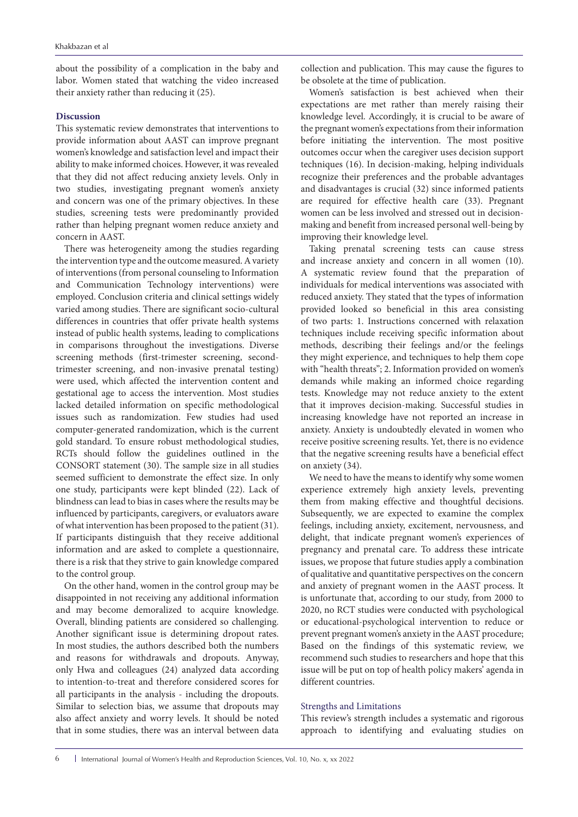about the possibility of a complication in the baby and labor. Women stated that watching the video increased their anxiety rather than reducing it (25).

#### **Discussion**

This systematic review demonstrates that interventions to provide information about AAST can improve pregnant women's knowledge and satisfaction level and impact their ability to make informed choices. However, it was revealed that they did not affect reducing anxiety levels. Only in two studies, investigating pregnant women's anxiety and concern was one of the primary objectives. In these studies, screening tests were predominantly provided rather than helping pregnant women reduce anxiety and concern in AAST.

There was heterogeneity among the studies regarding the intervention type and the outcome measured. A variety of interventions (from personal counseling to Information and Communication Technology interventions) were employed. Conclusion criteria and clinical settings widely varied among studies. There are significant socio-cultural differences in countries that offer private health systems instead of public health systems, leading to complications in comparisons throughout the investigations. Diverse screening methods (first-trimester screening, secondtrimester screening, and non-invasive prenatal testing) were used, which affected the intervention content and gestational age to access the intervention. Most studies lacked detailed information on specific methodological issues such as randomization. Few studies had used computer-generated randomization, which is the current gold standard. To ensure robust methodological studies, RCTs should follow the guidelines outlined in the CONSORT statement (30). The sample size in all studies seemed sufficient to demonstrate the effect size. In only one study, participants were kept blinded (22). Lack of blindness can lead to bias in cases where the results may be influenced by participants, caregivers, or evaluators aware of what intervention has been proposed to the patient (31). If participants distinguish that they receive additional information and are asked to complete a questionnaire, there is a risk that they strive to gain knowledge compared to the control group.

On the other hand, women in the control group may be disappointed in not receiving any additional information and may become demoralized to acquire knowledge. Overall, blinding patients are considered so challenging. Another significant issue is determining dropout rates. In most studies, the authors described both the numbers and reasons for withdrawals and dropouts. Anyway, only Hwa and colleagues (24) analyzed data according to intention-to-treat and therefore considered scores for all participants in the analysis - including the dropouts. Similar to selection bias, we assume that dropouts may also affect anxiety and worry levels. It should be noted that in some studies, there was an interval between data

collection and publication. This may cause the figures to be obsolete at the time of publication.

Women's satisfaction is best achieved when their expectations are met rather than merely raising their knowledge level. Accordingly, it is crucial to be aware of the pregnant women's expectations from their information before initiating the intervention. The most positive outcomes occur when the caregiver uses decision support techniques (16). In decision-making, helping individuals recognize their preferences and the probable advantages and disadvantages is crucial (32) since informed patients are required for effective health care (33). Pregnant women can be less involved and stressed out in decisionmaking and benefit from increased personal well-being by improving their knowledge level.

Taking prenatal screening tests can cause stress and increase anxiety and concern in all women (10). A systematic review found that the preparation of individuals for medical interventions was associated with reduced anxiety. They stated that the types of information provided looked so beneficial in this area consisting of two parts: 1. Instructions concerned with relaxation techniques include receiving specific information about methods, describing their feelings and/or the feelings they might experience, and techniques to help them cope with "health threats"; 2. Information provided on women's demands while making an informed choice regarding tests. Knowledge may not reduce anxiety to the extent that it improves decision-making. Successful studies in increasing knowledge have not reported an increase in anxiety. Anxiety is undoubtedly elevated in women who receive positive screening results. Yet, there is no evidence that the negative screening results have a beneficial effect on anxiety (34).

We need to have the means to identify why some women experience extremely high anxiety levels, preventing them from making effective and thoughtful decisions. Subsequently, we are expected to examine the complex feelings, including anxiety, excitement, nervousness, and delight, that indicate pregnant women's experiences of pregnancy and prenatal care. To address these intricate issues, we propose that future studies apply a combination of qualitative and quantitative perspectives on the concern and anxiety of pregnant women in the AAST process. It is unfortunate that, according to our study, from 2000 to 2020, no RCT studies were conducted with psychological or educational-psychological intervention to reduce or prevent pregnant women's anxiety in the AAST procedure; Based on the findings of this systematic review, we recommend such studies to researchers and hope that this issue will be put on top of health policy makers' agenda in different countries.

#### Strengths and Limitations

This review's strength includes a systematic and rigorous approach to identifying and evaluating studies on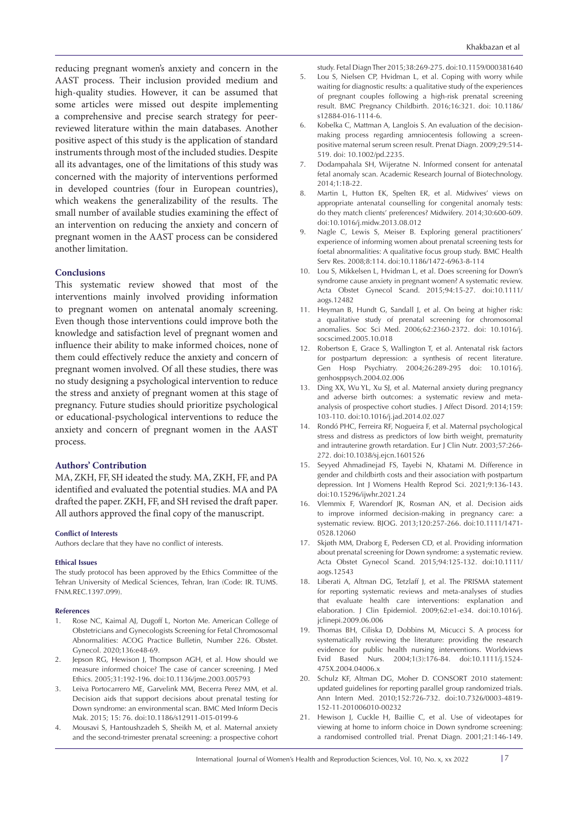reducing pregnant women's anxiety and concern in the AAST process. Their inclusion provided medium and high-quality studies. However, it can be assumed that some articles were missed out despite implementing a comprehensive and precise search strategy for peerreviewed literature within the main databases. Another positive aspect of this study is the application of standard instruments through most of the included studies. Despite all its advantages, one of the limitations of this study was concerned with the majority of interventions performed in developed countries (four in European countries), which weakens the generalizability of the results. The small number of available studies examining the effect of an intervention on reducing the anxiety and concern of pregnant women in the AAST process can be considered another limitation.

# **Conclusions**

This systematic review showed that most of the interventions mainly involved providing information to pregnant women on antenatal anomaly screening. Even though those interventions could improve both the knowledge and satisfaction level of pregnant women and influence their ability to make informed choices, none of them could effectively reduce the anxiety and concern of pregnant women involved. Of all these studies, there was no study designing a psychological intervention to reduce the stress and anxiety of pregnant women at this stage of pregnancy. Future studies should prioritize psychological or educational-psychological interventions to reduce the anxiety and concern of pregnant women in the AAST process.

#### **Authors' Contribution**

MA, ZKH, FF, SH ideated the study. MA, ZKH, FF, and PA identified and evaluated the potential studies. MA and PA drafted the paper. ZKH, FF, and SH revised the draft paper. All authors approved the final copy of the manuscript.

#### **Conflict of Interests**

Authors declare that they have no conflict of interests.

#### **Ethical Issues**

The study protocol has been approved by the Ethics Committee of the Tehran University of Medical Sciences, Tehran, Iran (Code: IR. TUMS. FNM.REC.1397.099).

#### **References**

- 1. Rose NC, Kaimal AJ, Dugoff L, Norton Me. American College of Obstetricians and Gynecologists Screening for Fetal Chromosomal Abnormalities: ACOG Practice Bulletin, Number 226. Obstet. Gynecol. 2020;136:e48-69.
- 2. Jepson RG, Hewison J, Thompson AGH, et al. How should we measure informed choice? The case of cancer screening. J Med Ethics. 2005;31:192-196. doi:10.1136/jme.2003.005793
- 3. Leiva Portocarrero ME, Garvelink MM, Becerra Perez MM, et al. Decision aids that support decisions about prenatal testing for Down syndrome: an environmental scan. BMC Med Inform Decis Mak. 2015; 15: 76. doi:10.1186/s12911-015-0199-6
- 4. Mousavi S, Hantoushzadeh S, Sheikh M, et al. Maternal anxiety and the second-trimester prenatal screening: a prospective cohort

study. Fetal Diagn Ther 2015;38:269-275. doi:10.1159/000381640

- 5. Lou S, Nielsen CP, Hvidman L, et al. Coping with worry while waiting for diagnostic results: a qualitative study of the experiences of pregnant couples following a high-risk prenatal screening result. BMC Pregnancy Childbirth. 2016;16:321. doi: 10.1186/ s12884-016-1114-6.
- 6. Kobelka C, Mattman A, Langlois S. An evaluation of the decisionmaking process regarding amniocentesis following a screenpositive maternal serum screen result. Prenat Diagn. 2009;29:514- 519. doi: 10.1002/pd.2235.
- 7. Dodampahala SH, Wijeratne N. Informed consent for antenatal fetal anomaly scan. Academic Research Journal of Biotechnology. 2014;1:18-22.
- 8. Martin L, Hutton EK, Spelten ER, et al. Midwives' views on appropriate antenatal counselling for congenital anomaly tests: do they match clients' preferences? Midwifery. 2014;30:600-609. doi:10.1016/j.midw.2013.08.012
- Nagle C, Lewis S, Meiser B. Exploring general practitioners' experience of informing women about prenatal screening tests for foetal abnormalities: A qualitative focus group study. BMC Health Serv Res. 2008;8:114. doi:10.1186/1472-6963-8-114
- 10. Lou S, Mikkelsen L, Hvidman L, et al. Does screening for Down's syndrome cause anxiety in pregnant women? A systematic review. Acta Obstet Gynecol Scand. 2015;94:15-27. doi:10.1111/ aogs.12482
- 11. Heyman B, Hundt G, Sandall J, et al. On being at higher risk: a qualitative study of prenatal screening for chromosomal anomalies. Soc Sci Med. 2006;62:2360-2372. doi: 10.1016/j. socscimed.2005.10.018
- 12. Robertson E, Grace S, Wallington T, et al. Antenatal risk factors for postpartum depression: a synthesis of recent literature. Gen Hosp Psychiatry. 2004;26:289-295 doi: 10.1016/j. genhosppsych.2004.02.006
- 13. Ding XX, Wu YL, Xu SJ, et al. Maternal anxiety during pregnancy and adverse birth outcomes: a systematic review and metaanalysis of prospective cohort studies. J Affect Disord. 2014;159: 103-110. doi:10.1016/j.jad.2014.02.027
- 14. Rondó PHC, Ferreira RF, Nogueira F, et al. Maternal psychological stress and distress as predictors of low birth weight, prematurity and intrauterine growth retardation. Eur J Clin Nutr. 2003;57:266- 272. doi:10.1038/sj.ejcn.1601526
- 15. Seyyed Ahmadinejad FS, Tayebi N, Khatami M. Difference in gender and childbirth costs and their association with postpartum depression. Int J Womens Health Reprod Sci. 2021;9:136-143. doi:10.15296/ijwhr.2021.24
- 16. Vlemmix F, Warendorf JK, Rosman AN, et al. Decision aids to improve informed decision-making in pregnancy care: a systematic review. BJOG. 2013;120:257-266. doi:10.1111/1471- 0528.12060
- 17. Skjøth MM, Draborg E, Pedersen CD, et al. Providing information about prenatal screening for Down syndrome: a systematic review. Acta Obstet Gynecol Scand. 2015;94:125-132. doi:10.1111/ aogs.12543
- 18. Liberati A, Altman DG, Tetzlaff J, et al. The PRISMA statement for reporting systematic reviews and meta-analyses of studies that evaluate health care interventions: explanation and elaboration. J Clin Epidemiol. 2009;62:e1-e34. doi:10.1016/j. jclinepi.2009.06.006
- 19. Thomas BH, Ciliska D, Dobbins M, Micucci S. A process for systematically reviewing the literature: providing the research evidence for public health nursing interventions. Worldviews Evid Based Nurs. 2004;1(3):176-84. doi:10.1111/j.1524- 475X.2004.04006.x
- 20. Schulz KF, Altman DG, Moher D. CONSORT 2010 statement: updated guidelines for reporting parallel group randomized trials. Ann Intern Med. 2010;152:726-732. doi:10.7326/0003-4819- 152-11-201006010-00232
- 21. Hewison J, Cuckle H, Baillie C, et al. Use of videotapes for viewing at home to inform choice in Down syndrome screening: a randomised controlled trial. Prenat Diagn. 2001;21:146-149.